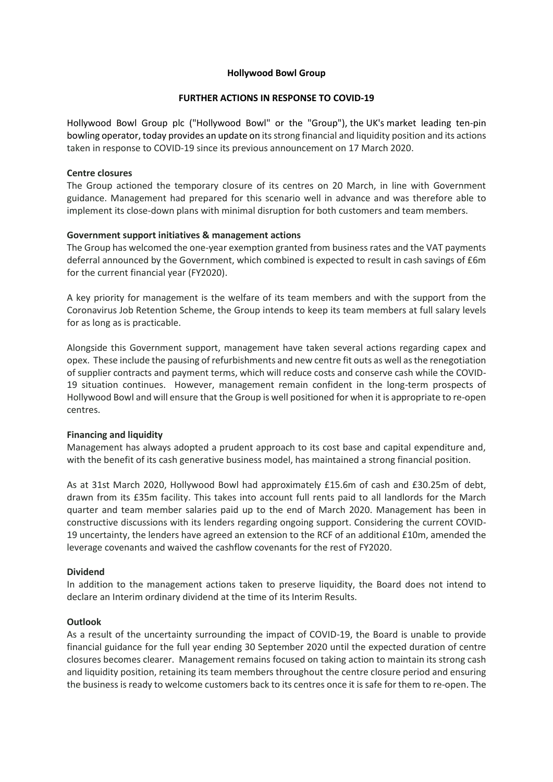# **Hollywood Bowl Group**

# **FURTHER ACTIONS IN RESPONSE TO COVID-19**

Hollywood Bowl Group plc ("Hollywood Bowl" or the "Group"), the UK's market leading ten-pin bowling operator, today provides an update on its strong financial and liquidity position and its actions taken in response to COVID-19 since its previous announcement on 17 March 2020.

## **Centre closures**

The Group actioned the temporary closure of its centres on 20 March, in line with Government guidance. Management had prepared for this scenario well in advance and was therefore able to implement its close-down plans with minimal disruption for both customers and team members.

## **Government support initiatives & management actions**

The Group has welcomed the one-year exemption granted from business rates and the VAT payments deferral announced by the Government, which combined is expected to result in cash savings of £6m for the current financial year (FY2020).

A key priority for management is the welfare of its team members and with the support from the Coronavirus Job Retention Scheme, the Group intends to keep its team members at full salary levels for as long as is practicable.

Alongside this Government support, management have taken several actions regarding capex and opex. These include the pausing of refurbishments and new centre fit outs as well as the renegotiation of supplier contracts and payment terms, which will reduce costs and conserve cash while the COVID-19 situation continues. However, management remain confident in the long-term prospects of Hollywood Bowl and will ensure that the Group is well positioned for when it is appropriate to re-open centres.

#### **Financing and liquidity**

Management has always adopted a prudent approach to its cost base and capital expenditure and, with the benefit of its cash generative business model, has maintained a strong financial position.

As at 31st March 2020, Hollywood Bowl had approximately £15.6m of cash and £30.25m of debt, drawn from its £35m facility. This takes into account full rents paid to all landlords for the March quarter and team member salaries paid up to the end of March 2020. Management has been in constructive discussions with its lenders regarding ongoing support. Considering the current COVID-19 uncertainty, the lenders have agreed an extension to the RCF of an additional £10m, amended the leverage covenants and waived the cashflow covenants for the rest of FY2020.

# **Dividend**

In addition to the management actions taken to preserve liquidity, the Board does not intend to declare an Interim ordinary dividend at the time of its Interim Results.

#### **Outlook**

As a result of the uncertainty surrounding the impact of COVID-19, the Board is unable to provide financial guidance for the full year ending 30 September 2020 until the expected duration of centre closures becomes clearer. Management remains focused on taking action to maintain its strong cash and liquidity position, retaining its team members throughout the centre closure period and ensuring the business is ready to welcome customers back to its centres once it is safe for them to re-open. The